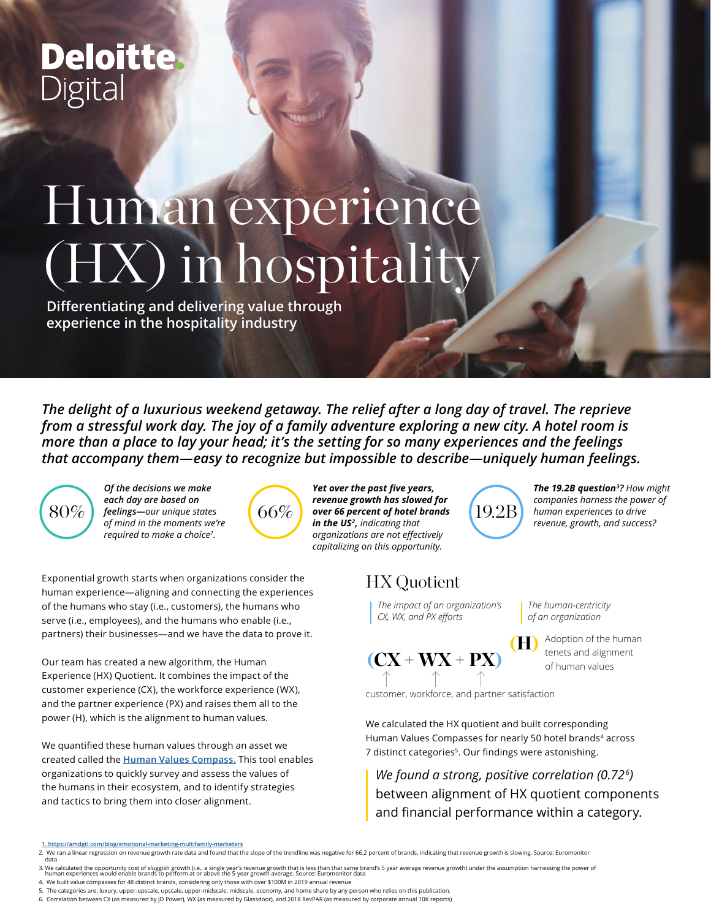## **Deloitte** Digital

# Human experience (HX) in hospitality

**Differentiating and delivering value through experience in the hospitality industry**

*The delight of a luxurious weekend getaway. The relief after a long day of travel. The reprieve from a stressful work day. The joy of a family adventure exploring a new city. A hotel room is more than a place to lay your head; it's the setting for so many experiences and the feelings that accompany them—easy to recognize but impossible to describe—uniquely human feelings.* 



*Of the decisions we make each day are based on feelings—our unique states of mind in the moments we're required to make a choice1 .* 



*Yet over the past five years, revenue growth has slowed for over 66 percent of hotel brands in the US2, indicating that organizations are not effectively capitalizing on this opportunity.*

### HX Quotient

*The impact of an organization's CX, WX, and PX efforts*

 $(CX + WX + PX)$ 

customer, workforce, and partner satisfaction

We calculated the HX quotient and built corresponding Human Values Compasses for nearly 50 hotel brands<sup>4</sup> across 7 distinct categories<sup>5</sup>. Our findings were astonishing.

19.2B

*We found a strong, positive correlation (0.726)* between alignment of HX quotient components and financial performance within a category.

Our team has created a new algorithm, the Human Experience (HX) Quotient. It combines the impact of the customer experience (CX), the workforce experience (WX), and the partner experience (PX) and raises them all to the power (H), which is the alignment to human values.

We quantified these human values through an asset we created called the **[Human Values Compass.](https://www.deloittedigital.com/content/dam/deloittedigital/us/documents/blog/blog-20190807-ehx.pdf)** This tool enables organizations to quickly survey and assess the values of the humans in their ecosystem, and to identify strategies and tactics to bring them into closer alignment.

- 
- 

6. Correlation between CX (as measured by JD Power), WX (as measured by Glassdoor), and 2018 RevPAR (as measured by corporate annual 10K reports)

*The human-centricity of an organization*

(H) Adoption of the human tenets and alignment of human values

*The 19.2B question3? How might companies harness the power of human experiences to drive revenue, growth, and success?*

Exponential growth starts when organizations consider the human experience—aligning and connecting the experiences of the humans who stay (i.e., customers), the humans who serve (i.e., employees), and the humans who enable (i.e., partners) their businesses—and we have the data to prove it.

**<sup>1.</sup> https://amdgtl.com/blog/emotional-marketing-multifamily-marketers**

<sup>2.</sup> We ran a linear regression on revenue growth rate data and found that the slope of the trendline was negative for 66.2 percent of brands, indicating that revenue growth is slowing. Source: Euromonitor data

<sup>3.</sup> We calculated the opportunity cost of sluggish growth (i.e., a single year's revenue growth that is less than that same brand's 5 year average revenue growth) under the assumption harnessing the power of<br>human experienc

<sup>5.</sup> The categories are: luxury, upper-upscale, upscale, upper-midscale, midscale, economy, and home share by any person who relies on this publication.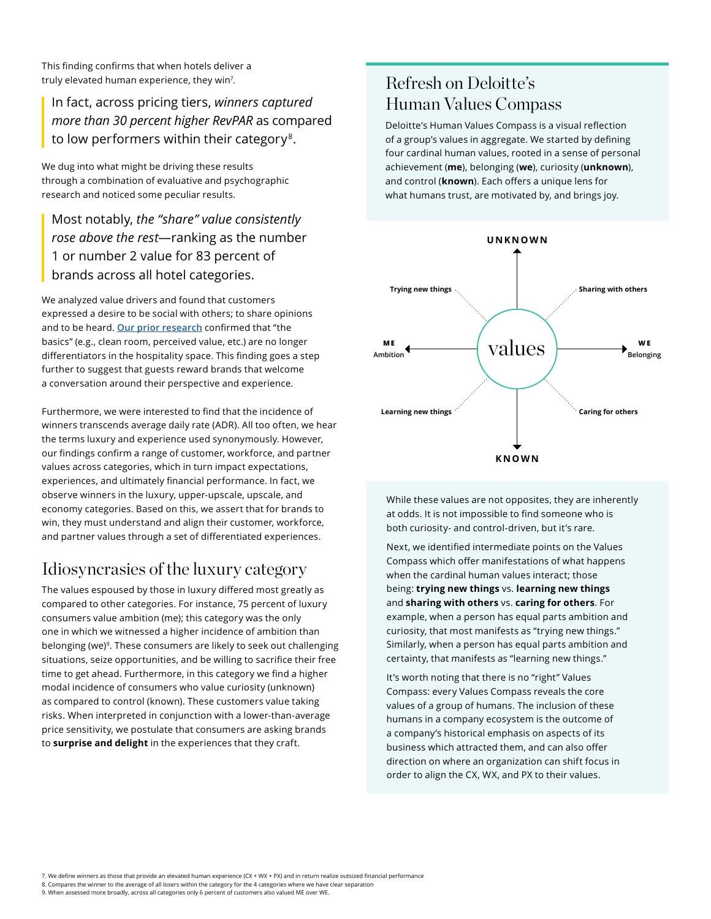This finding confirms that when hotels deliver a truly elevated human experience, they win7 .

In fact, across pricing tiers, *winners captured more than 30 percent higher RevPAR* as compared to low performers within their category<sup>8</sup>.

We dug into what might be driving these results through a combination of evaluative and psychographic research and noticed some peculiar results.

Most notably, *the "share" value consistently rose above the rest*—ranking as the number 1 or number 2 value for 83 percent of brands across all hotel categories.

We analyzed value drivers and found that customers expressed a desire to be social with others; to share opinions and to be heard. **[Our prior research](https://www2.deloitte.com/us/en/pages/consumer-business/articles/hotel-guest-experience-strategy.html)** confirmed that "the basics" (e.g., clean room, perceived value, etc.) are no longer differentiators in the hospitality space. This finding goes a step further to suggest that guests reward brands that welcome a conversation around their perspective and experience.

Furthermore, we were interested to find that the incidence of winners transcends average daily rate (ADR). All too often, we hear the terms luxury and experience used synonymously. However, our findings confirm a range of customer, workforce, and partner values across categories, which in turn impact expectations, experiences, and ultimately financial performance. In fact, we observe winners in the luxury, upper-upscale, upscale, and economy categories. Based on this, we assert that for brands to win, they must understand and align their customer, workforce, and partner values through a set of differentiated experiences.

#### Idiosyncrasies of the luxury category

The values espoused by those in luxury differed most greatly as compared to other categories. For instance, 75 percent of luxury consumers value ambition (me); this category was the only one in which we witnessed a higher incidence of ambition than belonging (we)<sup>9</sup>. These consumers are likely to seek out challenging situations, seize opportunities, and be willing to sacrifice their free time to get ahead. Furthermore, in this category we find a higher modal incidence of consumers who value curiosity (unknown) as compared to control (known). These customers value taking risks. When interpreted in conjunction with a lower-than-average price sensitivity, we postulate that consumers are asking brands to **surprise and delight** in the experiences that they craft.

#### Refresh on Deloitte's Human Values Compass

Deloitte's Human Values Compass is a visual reflection of a group's values in aggregate. We started by defining four cardinal human values, rooted in a sense of personal achievement (**me**), belonging (**we**), curiosity (**unknown**), and control (**known**). Each offers a unique lens for what humans trust, are motivated by, and brings joy.



While these values are not opposites, they are inherently at odds. It is not impossible to find someone who is both curiosity- and control-driven, but it's rare.

Next, we identified intermediate points on the Values Compass which offer manifestations of what happens when the cardinal human values interact; those being: **trying new things** vs. **learning new things** and **sharing with others** vs. **caring for others**. For example, when a person has equal parts ambition and curiosity, that most manifests as "trying new things." Similarly, when a person has equal parts ambition and certainty, that manifests as "learning new things."

It's worth noting that there is no "right" Values Compass: every Values Compass reveals the core values of a group of humans. The inclusion of these humans in a company ecosystem is the outcome of a company's historical emphasis on aspects of its business which attracted them, and can also offer direction on where an organization can shift focus in order to align the CX, WX, and PX to their values.

7. We define winners as those that provide an elevated human experience (CX + WX + PX) and in return realize outsized financial performance 8. Compares the winner to the average of all losers within the category for the 4 categories where we have clear separation 9. When assessed more broadly, across all categories only 6 percent of customers also valued ME over WE.